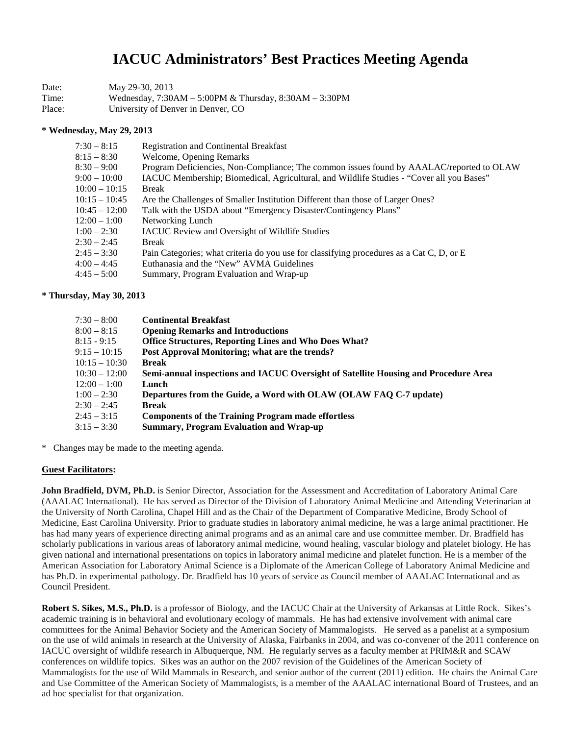# **IACUC Administrators' Best Practices Meeting Agenda**

| Date:  | May 29-30, 2013                                            |
|--------|------------------------------------------------------------|
| Time:  | Wednesday, $7:30AM - 5:00PM$ & Thursday, $8:30AM - 3:30PM$ |
| Place: | University of Denver in Denver, CO                         |

#### **\* Wednesday, May 29, 2013**

| $7:30 - 8:15$   | <b>Registration and Continental Breakfast</b>                                            |
|-----------------|------------------------------------------------------------------------------------------|
| $8:15 - 8:30$   | Welcome, Opening Remarks                                                                 |
| $8:30 - 9:00$   | Program Deficiencies, Non-Compliance; The common issues found by AAALAC/reported to OLAW |
| $9:00 - 10:00$  | IACUC Membership; Biomedical, Agricultural, and Wildlife Studies - "Cover all you Bases" |
| $10:00 - 10:15$ | <b>Break</b>                                                                             |
| $10:15 - 10:45$ | Are the Challenges of Smaller Institution Different than those of Larger Ones?           |
| $10:45 - 12:00$ | Talk with the USDA about "Emergency Disaster/Contingency Plans"                          |
| $12:00 - 1:00$  | Networking Lunch                                                                         |
| $1:00 - 2:30$   | <b>IACUC</b> Review and Oversight of Wildlife Studies                                    |
| $2:30 - 2:45$   | <b>Break</b>                                                                             |
| $2:45 - 3:30$   | Pain Categories; what criteria do you use for classifying procedures as a Cat C, D, or E |
| $4:00 - 4:45$   | Euthanasia and the "New" AVMA Guidelines                                                 |
| $4:45 - 5:00$   | Summary, Program Evaluation and Wrap-up                                                  |
|                 |                                                                                          |

#### **\* Thursday, May 30, 2013**

| $7:30 - 8:00$   | <b>Continental Breakfast</b>                                                        |
|-----------------|-------------------------------------------------------------------------------------|
| $8:00 - 8:15$   | <b>Opening Remarks and Introductions</b>                                            |
| $8:15 - 9:15$   | <b>Office Structures, Reporting Lines and Who Does What?</b>                        |
| $9:15 - 10:15$  | Post Approval Monitoring; what are the trends?                                      |
| $10:15 - 10:30$ | <b>Break</b>                                                                        |
| $10:30 - 12:00$ | Semi-annual inspections and IACUC Oversight of Satellite Housing and Procedure Area |
| $12:00 - 1:00$  | Lunch                                                                               |
| $1:00 - 2:30$   | Departures from the Guide, a Word with OLAW (OLAW FAQ C-7 update)                   |
| $2:30 - 2:45$   | <b>Break</b>                                                                        |
| $2:45 - 3:15$   | <b>Components of the Training Program made effortless</b>                           |
| $3:15 - 3:30$   | <b>Summary, Program Evaluation and Wrap-up</b>                                      |
|                 |                                                                                     |

\* Changes may be made to the meeting agenda.

#### **Guest Facilitators:**

**John Bradfield, DVM, Ph.D.** is Senior Director, Association for the Assessment and Accreditation of Laboratory Animal Care (AAALAC International). He has served as Director of the Division of Laboratory Animal Medicine and Attending Veterinarian at the University of North Carolina, Chapel Hill and as the Chair of the Department of Comparative Medicine, Brody School of Medicine, East Carolina University. Prior to graduate studies in laboratory animal medicine, he was a large animal practitioner. He has had many years of experience directing animal programs and as an animal care and use committee member. Dr. Bradfield has scholarly publications in various areas of laboratory animal medicine, wound healing, vascular biology and platelet biology. He has given national and international presentations on topics in laboratory animal medicine and platelet function. He is a member of the American Association for Laboratory Animal Science is a Diplomate of the American College of Laboratory Animal Medicine and has Ph.D. in experimental pathology. Dr. Bradfield has 10 years of service as Council member of AAALAC International and as Council President.

Robert S. Sikes, M.S., Ph.D. is a professor of Biology, and the IACUC Chair at the University of Arkansas at Little Rock. Sikes's academic training is in behavioral and evolutionary ecology of mammals. He has had extensive involvement with animal care committees for the Animal Behavior Society and the American Society of Mammalogists. He served as a panelist at a symposium on the use of wild animals in research at the University of Alaska, Fairbanks in 2004, and was co-convener of the 2011 conference on IACUC oversight of wildlife research in Albuquerque, NM. He regularly serves as a faculty member at PRIM&R and SCAW conferences on wildlife topics. Sikes was an author on the 2007 revision of the Guidelines of the American Society of Mammalogists for the use of Wild Mammals in Research, and senior author of the current (2011) edition. He chairs the Animal Care and Use Committee of the American Society of Mammalogists, is a member of the AAALAC international Board of Trustees, and an ad hoc specialist for that organization.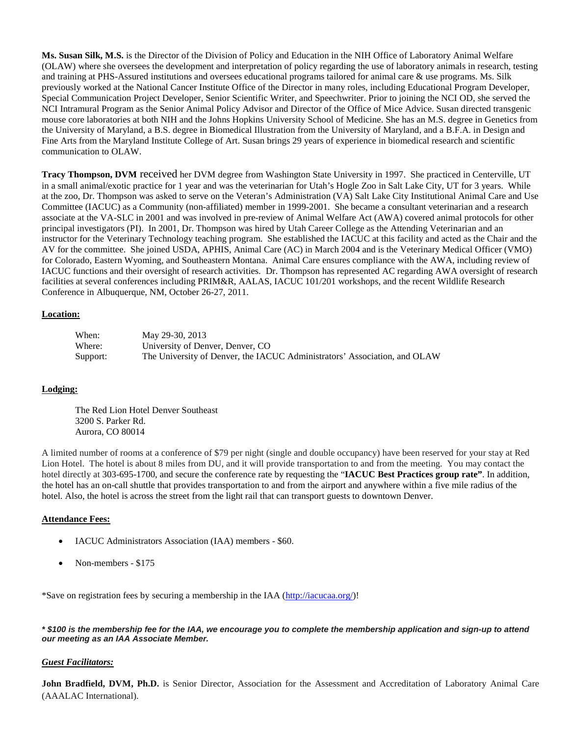**Ms. Susan Silk, M.S.** is the Director of the Division of Policy and Education in the NIH Office of Laboratory Animal Welfare (OLAW) where she oversees the development and interpretation of policy regarding the use of laboratory animals in research, testing and training at PHS-Assured institutions and oversees educational programs tailored for animal care & use programs. Ms. Silk previously worked at the National Cancer Institute Office of the Director in many roles, including Educational Program Developer, Special Communication Project Developer, Senior Scientific Writer, and Speechwriter. Prior to joining the NCI OD, she served the NCI Intramural Program as the Senior Animal Policy Advisor and Director of the Office of Mice Advice. Susan directed transgenic mouse core laboratories at both NIH and the Johns Hopkins University School of Medicine. She has an M.S. degree in Genetics from the University of Maryland, a B.S. degree in Biomedical Illustration from the University of Maryland, and a B.F.A. in Design and Fine Arts from the Maryland Institute College of Art. Susan brings 29 years of experience in biomedical research and scientific communication to OLAW.

**Tracy Thompson, DVM** received her DVM degree from Washington State University in 1997. She practiced in Centerville, UT in a small animal/exotic practice for 1 year and was the veterinarian for Utah's Hogle Zoo in Salt Lake City, UT for 3 years. While at the zoo, Dr. Thompson was asked to serve on the Veteran's Administration (VA) Salt Lake City Institutional Animal Care and Use Committee (IACUC) as a Community (non-affiliated) member in 1999-2001. She became a consultant veterinarian and a research associate at the VA-SLC in 2001 and was involved in pre-review of Animal Welfare Act (AWA) covered animal protocols for other principal investigators (PI). In 2001, Dr. Thompson was hired by Utah Career College as the Attending Veterinarian and an instructor for the Veterinary Technology teaching program. She established the IACUC at this facility and acted as the Chair and the AV for the committee. She joined USDA, APHIS, Animal Care (AC) in March 2004 and is the Veterinary Medical Officer (VMO) for Colorado, Eastern Wyoming, and Southeastern Montana. Animal Care ensures compliance with the AWA, including review of IACUC functions and their oversight of research activities. Dr. Thompson has represented AC regarding AWA oversight of research facilities at several conferences including PRIM&R, AALAS, IACUC 101/201 workshops, and the recent Wildlife Research Conference in Albuquerque, NM, October 26-27, 2011.

## **Location:**

| When:    | May 29-30, 2013                                                           |
|----------|---------------------------------------------------------------------------|
| Where:   | University of Denver, Denver, CO                                          |
| Support: | The University of Denver, the IACUC Administrators' Association, and OLAW |

## **Lodging:**

The Red Lion Hotel Denver Southeast 3200 S. Parker Rd. Aurora, CO 80014

A limited number of rooms at a conference of \$79 per night (single and double occupancy) have been reserved for your stay at Red Lion Hotel. The hotel is about 8 miles from DU, and it will provide transportation to and from the meeting. You may contact the hotel directly at 303-695-1700, and secure the conference rate by requesting the "**IACUC Best Practices group rate"**. In addition, the hotel has an on-call shuttle that provides transportation to and from the airport and anywhere within a five mile radius of the hotel. Also, the hotel is across the street from the light rail that can transport guests to downtown Denver.

## **Attendance Fees:**

- IACUC Administrators Association (IAA) members \$60.
- Non-members \$175

\*Save on registration fees by securing a membership in the IAA [\(http://iacucaa.org/\)](http://iacucaa.org/)!

*\* \$100 is the membership fee for the IAA, we encourage you to complete the membership application and sign-up to attend our meeting as an IAA Associate Member.*

# *Guest Facilitators:*

**John Bradfield, DVM, Ph.D.** is Senior Director, Association for the Assessment and Accreditation of Laboratory Animal Care (AAALAC International).